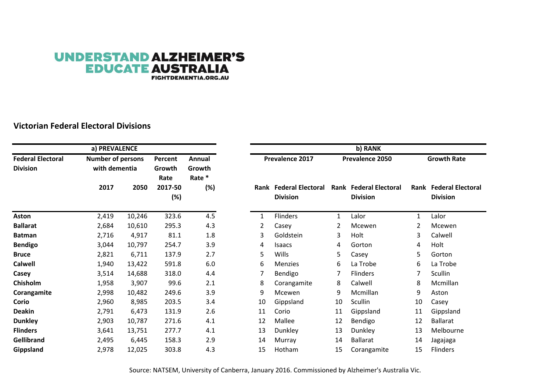## **UNDERSTAND ALZHEIMER'S EDUCATE AUSTRALIA**

**FIGHTDEMENTIA.ORG.AU** 

## **Victorian Federal Electoral Divisions**

|                                             | a) PREVALENCE                             |        |                           | b) RANK                    |    |                                           |    |                                                  |    |                                                  |  |
|---------------------------------------------|-------------------------------------------|--------|---------------------------|----------------------------|----|-------------------------------------------|----|--------------------------------------------------|----|--------------------------------------------------|--|
| <b>Federal Electoral</b><br><b>Division</b> | <b>Number of persons</b><br>with dementia |        | Percent<br>Growth<br>Rate | Annual<br>Growth<br>Rate * |    | Prevalence 2017                           |    | Prevalence 2050                                  |    | <b>Growth Rate</b>                               |  |
|                                             | 2017                                      | 2050   | 2017-50<br>(%)            | (%)                        |    | Rank Federal Electoral<br><b>Division</b> |    | <b>Rank Federal Electoral</b><br><b>Division</b> |    | <b>Rank Federal Electoral</b><br><b>Division</b> |  |
| <b>Aston</b>                                | 2,419                                     | 10,246 | 323.6                     | 4.5                        |    | Flinders                                  | 1  | Lalor                                            | 1  | Lalor                                            |  |
| <b>Ballarat</b>                             | 2,684                                     | 10,610 | 295.3                     | 4.3                        | 2  | Casey                                     |    | Mcewen                                           | 2  | Mcewen                                           |  |
| <b>Batman</b>                               | 2,716                                     | 4,917  | 81.1                      | 1.8                        | 3  | Goldstein                                 | 3  | Holt                                             | 3  | Calwell                                          |  |
| <b>Bendigo</b>                              | 3,044                                     | 10,797 | 254.7                     | 3.9                        | 4  | <b>Isaacs</b>                             | 4  | Gorton                                           | 4  | Holt                                             |  |
| <b>Bruce</b>                                | 2,821                                     | 6,711  | 137.9                     | 2.7                        | 5  | Wills                                     | 5. | Casey                                            | 5  | Gorton                                           |  |
| <b>Calwell</b>                              | 1,940                                     | 13,422 | 591.8                     | 6.0                        | 6  | <b>Menzies</b>                            | 6  | La Trobe                                         | 6  | La Trobe                                         |  |
| Casey                                       | 3,514                                     | 14,688 | 318.0                     | 4.4                        | 7  | Bendigo                                   | 7  | Flinders                                         | 7  | <b>Scullin</b>                                   |  |
| Chisholm                                    | 1,958                                     | 3,907  | 99.6                      | 2.1                        | 8  | Corangamite                               | 8  | Calwell                                          | 8  | Mcmillan                                         |  |
| Corangamite                                 | 2,998                                     | 10,482 | 249.6                     | 3.9                        | 9  | Mcewen                                    | 9  | Mcmillan                                         | 9  | Aston                                            |  |
| Corio                                       | 2,960                                     | 8,985  | 203.5                     | 3.4                        | 10 | Gippsland                                 | 10 | Scullin                                          | 10 | Casey                                            |  |
| <b>Deakin</b>                               | 2,791                                     | 6,473  | 131.9                     | 2.6                        | 11 | Corio                                     | 11 | Gippsland                                        | 11 | Gippsland                                        |  |
| <b>Dunkley</b>                              | 2,903                                     | 10,787 | 271.6                     | 4.1                        | 12 | Mallee                                    | 12 | Bendigo                                          | 12 | <b>Ballarat</b>                                  |  |
| <b>Flinders</b>                             | 3,641                                     | 13,751 | 277.7                     | 4.1                        | 13 | Dunkley                                   | 13 | Dunkley                                          | 13 | Melbourne                                        |  |
| <b>Gellibrand</b>                           | 2,495                                     | 6,445  | 158.3                     | 2.9                        | 14 | Murray                                    | 14 | <b>Ballarat</b>                                  | 14 | Jagajaga                                         |  |
| Gippsland                                   | 2,978                                     | 12,025 | 303.8                     | 4.3                        | 15 | Hotham                                    | 15 | Corangamite                                      | 15 | Flinders                                         |  |